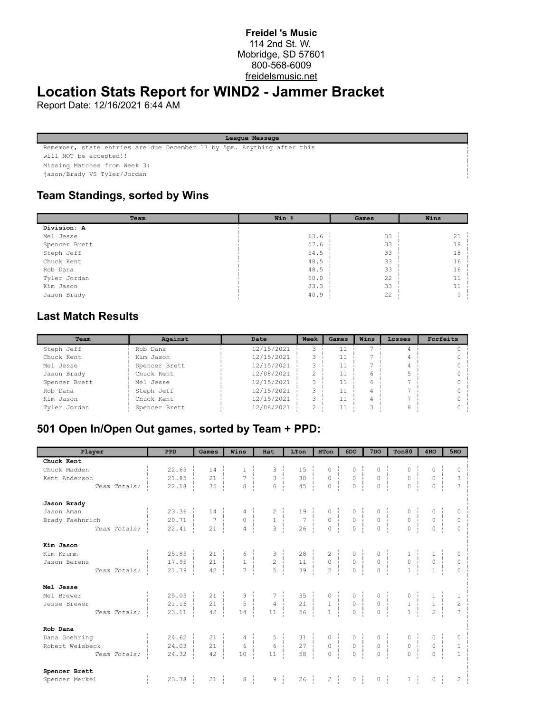#### **Freidel 's Music** 114 2nd St. W. Mobridge, SD 57601 800-568-6009 freidelsmusic.net

## **Location Stats Report for WIND2 - Jammer Bracket**

Report Date: 12/16/2021 6:44 AM

**League Message**

Remember, state entries are due December 17 by 5pm. Anything after this

will NOT be accepted!!

Missing Matches from Week 3:

jason/Brady VS Tyler/Jordan

#### **Team Standings, sorted by Wins**

| Team          | Win % | Games | Wins |
|---------------|-------|-------|------|
| Division: A   |       |       |      |
| Mel Jesse     | 63.6  | 33    | 21   |
| Spencer Brett | 57.6  | 33    | 19   |
| Steph Jeff    | 54.5  | 33    | 18   |
| Chuck Kent    | 48.5  | 33    | 16   |
| Rob Dana      | 48.5  | 33    | 16   |
| Tyler Jordan  | 50.0  | 22    | 11   |
| Kim Jason     | 33.3  | 33    | 11   |
| Jason Brady   | 40.9  | 22    | q    |

### **Last Match Results**

| Team          | Against       | Date       | Week          | Games | Wins | Losses | Forfeits |
|---------------|---------------|------------|---------------|-------|------|--------|----------|
| Steph Jeff    | Rob Dana      | 12/15/2021 | $\sim$        |       |      |        |          |
| Chuck Kent    | Kim Jason     | 12/15/2021 | C.            |       |      |        |          |
| Mel Jesse     | Spencer Brett | 12/15/2021 | ∍             |       |      |        |          |
| Jason Brady   | Chuck Kent    | 12/08/2021 | っ             |       | 6    |        |          |
| Spencer Brett | Mel Jesse     | 12/15/2021 | 3             |       |      |        |          |
| Rob Dana      | Steph Jeff    | 12/15/2021 | $\mathcal{L}$ |       |      |        |          |
| Kim Jason     | Chuck Kent    | 12/15/2021 | ∍             |       |      |        |          |
| Tyler Jordan  | Spencer Brett | 12/08/2021 | ⌒             |       |      |        |          |

#### **501 Open In/Open Out games, sorted by Team + PPD:**

| Player          | <b>PPD</b>            | Games               | Wins                                                    | Hat                                        | LTon                                                                                            | <b>HTon</b>                                                                                                                | 6DO                                                                  | 7 <sub>DO</sub>                                                      | Ton80                                                             | 4 <sub>RO</sub>                                        | 5RO                     |
|-----------------|-----------------------|---------------------|---------------------------------------------------------|--------------------------------------------|-------------------------------------------------------------------------------------------------|----------------------------------------------------------------------------------------------------------------------------|----------------------------------------------------------------------|----------------------------------------------------------------------|-------------------------------------------------------------------|--------------------------------------------------------|-------------------------|
| Chuck Kent      |                       |                     |                                                         |                                            |                                                                                                 |                                                                                                                            |                                                                      |                                                                      |                                                                   |                                                        |                         |
| Chuck Madden    | 22.69                 | 14                  |                                                         | $3$<br>$3$<br>$6$<br>$+$                   | $\begin{array}{c c} 15 & 1 \\ 30 & 1 \\ 15 & 1 \end{array}$                                     | $\begin{matrix} 0 & \cdot & \cdot \\ \cdot & \cdot & \cdot \\ \cdot & \cdot & \cdot \\ \cdot & \cdot & \cdot \end{matrix}$ |                                                                      | 0                                                                    | 0                                                                 | 0                                                      | $\Omega$                |
| Kent Anderson   | 21.85                 | 21                  | $\overline{7}$                                          |                                            |                                                                                                 |                                                                                                                            | $\begin{array}{c} 0 \\ 0 \\ 1 \\ 0 \end{array}$                      | $\rm \dot{o}$                                                        | 0 <sup>1</sup>                                                    | $\overline{0}$                                         | 3                       |
| Team Totals:    | 22.18                 | 35                  | $\overline{8}$                                          |                                            | 45                                                                                              |                                                                                                                            |                                                                      | $\overline{0}$                                                       | $\overline{0}$                                                    | $\circ$                                                | $\overline{\mathbf{3}}$ |
| Jason Brady     |                       |                     |                                                         |                                            |                                                                                                 |                                                                                                                            |                                                                      |                                                                      |                                                                   |                                                        |                         |
| Jason Aman      | 23.36                 | $14 -$              |                                                         |                                            | $\begin{array}{c ccccc}\n2 & & & 19 & & & \\ 1 & & & 7 & & & \\ 3 & & & 26 & & & \n\end{array}$ |                                                                                                                            |                                                                      |                                                                      |                                                                   |                                                        | 0                       |
| Brady Faehnrich | 20.71                 | $\overline{7}$<br>÷ | $\begin{array}{c} 0 \\ 0 \\ 4 \end{array}$              |                                            |                                                                                                 | $\begin{matrix} 0 & \vdots \\ 0 & \vdots \\ \vdots & \vdots \end{matrix}$                                                  | $\begin{matrix} 0 \\ 0 \\ \vdots \\ 0 \end{matrix}$                  | 0 <sup>1</sup>                                                       | $\begin{matrix} 0 &   &   \\ 0 &   &   \\ 0 &   &   \end{matrix}$ | $0 \frac{1}{1}$                                        | $\circ$                 |
| Team Totals:    | 22.41                 | 21                  | $\overline{4}$                                          |                                            |                                                                                                 |                                                                                                                            |                                                                      | $\overline{0}$                                                       |                                                                   | $\overline{0}$                                         | $\Omega$                |
| Kim Jason       |                       |                     |                                                         |                                            |                                                                                                 |                                                                                                                            |                                                                      |                                                                      |                                                                   |                                                        |                         |
| Kim Krumm       | 25.85                 | $21 -$              |                                                         |                                            | $\begin{array}{c c} 28 &   &   &   \\ 11 &   &   &   \\ 39 &   &   &   \end{array}$             | $\begin{array}{c} 2 \\ 0 \\ 2 \end{array}$                                                                                 |                                                                      |                                                                      |                                                                   |                                                        |                         |
| Jason Berens    | $17.95 \frac{1}{2}$   | 21<br>- 11          | $\begin{array}{c} \circ \\ 1 \\ 7 \end{array}$          | $\begin{array}{c} 3 \\ 2 \\ 5 \end{array}$ |                                                                                                 |                                                                                                                            | $\begin{matrix} 0 & \vdots \\ 0 & \vdots \\ 0 & \vdots \end{matrix}$ | $\begin{matrix} 0 & \vdots \\ 0 & \vdots \\ 0 & \vdots \end{matrix}$ | $\begin{array}{c} 1\\0\\1 \end{array}$                            | $\begin{array}{c} 1\\0\\1 \end{array}$                 | $\circ$                 |
| Team Totals:    | 21.79                 | 42                  |                                                         |                                            |                                                                                                 |                                                                                                                            |                                                                      |                                                                      |                                                                   |                                                        | $\Omega$                |
| Mel Jesse       |                       |                     |                                                         |                                            |                                                                                                 |                                                                                                                            |                                                                      |                                                                      |                                                                   |                                                        |                         |
| Mel Brewer      | 25.05                 | $21 -$              | $\begin{array}{c} 9 \\ 5 \end{array}$                   |                                            | $\begin{array}{c} 35 \\ 21 \end{array}$                                                         |                                                                                                                            |                                                                      | $\begin{matrix} 0 & \vdots \\ 0 & \vdots \end{matrix}$               |                                                                   | $\begin{array}{c} 1 \\ 1 \end{array}$                  | -1                      |
| Jesse Brewer    | 21.16                 | 21<br>÷             |                                                         | $\frac{1}{4}$<br>d,                        |                                                                                                 | $\begin{bmatrix} 0 & 1 \\ 1 & 1 \\ 1 & 1 \end{bmatrix}$                                                                    | $\begin{matrix} 0 & \vdots \\ 0 & \vdots \\ 0 & \vdots \end{matrix}$ |                                                                      | $\begin{array}{c} 0 \\ 1 \\ 1 \\ 1 \end{array}$                   |                                                        | $\overline{c}$          |
| Team Totals:    | 23.11                 | 42                  | 14                                                      | $11 -$                                     | $56 \frac{1}{1}$                                                                                |                                                                                                                            | $\circ$                                                              | $\overline{0}$                                                       |                                                                   | $\overline{2}$                                         | $\mathcal{R}$           |
| Rob Dana        |                       |                     |                                                         |                                            |                                                                                                 |                                                                                                                            |                                                                      |                                                                      |                                                                   |                                                        |                         |
| Dana Goehring   | $24.62 -$             | $21 - i$            | $\begin{array}{c c} 4 &   &   \\ 6 &   &   \end{array}$ | $\begin{array}{c} 5 \\ 6 \end{array}$      |                                                                                                 |                                                                                                                            |                                                                      | $\begin{matrix} 0 \\ 0 \end{matrix}$                                 | $\begin{matrix} 0 & \vdots \\ 0 & \vdots \end{matrix}$            | $\begin{matrix} 0 & \vdots \\ 0 & \vdots \end{matrix}$ |                         |
| Robert Weisbeck | 24.03                 | 21                  |                                                         |                                            | $\frac{1}{2}$                                                                                   | $\begin{matrix} 0 \\ 0 \\ \vdots \\ 0 \end{matrix}$                                                                        | $\begin{matrix} 0 & \vdots \\ 0 & \vdots \end{matrix}$               |                                                                      |                                                                   |                                                        | $\mathbf{1}$            |
| Team Totals:    | 24.32                 | 42                  | 10                                                      | 11                                         | $\begin{array}{c c} 31 &   &   &   \\ 27 &   &   &   \\ 58 &   &   &   \end{array}$             |                                                                                                                            | $\overline{0}$                                                       | $\overline{0}$                                                       | $\overline{0}$                                                    | $\overline{0}$                                         | $\overline{1}$          |
| Spencer Brett   |                       |                     |                                                         |                                            |                                                                                                 |                                                                                                                            |                                                                      |                                                                      |                                                                   |                                                        |                         |
| Spencer Merkel  | 23.78<br>$\mathbb{L}$ | 21                  | $8 \frac{1}{1}$                                         | $9 \frac{1}{1}$                            | $26 \frac{1}{1}$                                                                                | $2 \frac{1}{2}$                                                                                                            | $0 \quad \frac{1}{2}$                                                | $0 \quad \frac{1}{1}$                                                | $1 \nightharpoonup$                                               | $0 \quad \frac{1}{1}$                                  | $\overline{c}$          |